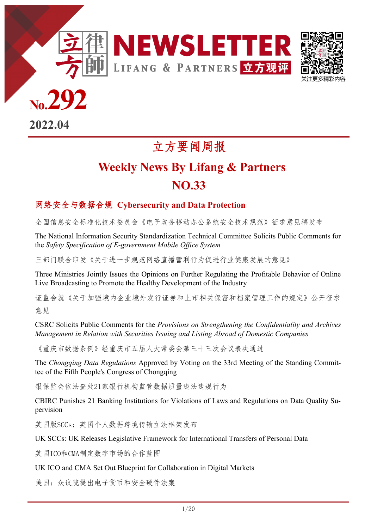



**No.292**

**2022.04**

# 立方要闻周报

# **Weekly News By Lifang & Partners NO.33**

# 网络安全与数据合规 **Cybersecurity and Data Protection**

**<特刊>** [全国信息安全标准化技术委员会《电子政务移动办公系统安全技术规范》征求意见稿发布](#page-2-0)

[The National Information Security Standardization Technical Committee Solicits Public Comments for](#page-2-0)  the *Safety Specification of E-[government Mobile Office System](#page-2-0)*

[三部门联合印发《关于进一步规范网络直播营利行为促进行业健康发展的意见》](#page-2-0)

[Three Ministries Jointly Issues the Opinions on Further Regulating the Profitable Behavior of Online](#page-2-0)  [Live Broadcasting to Promote the Healthy Development of the Industry](#page-2-0)

[证监会就《关于加强境内企业境外发行证券和上市相关保密和档案管理工作的规定》公开征求](#page-3-0) [意见](#page-3-0)

CSRC Solicits Public Comments for the *[Provisions on Strengthening the Confidentiality and Archives](#page-3-0)  [Management in Relation with Securities Issuing and Listing Abroad of Domestic Companies](#page-3-0)*

[《重庆市数据条例》经重庆市五届人大常委会第三十三次会议表决通过](#page-4-0)

The *Chongqing Data Regulations* [Approved by Voting on the 33rd Meeting of the Standing Commit](#page-4-0)[tee of the Fifth People's Congress of Chongqing](#page-4-0)

银保监会依法查处21[家银行机构监管数据质量违法违规行为](#page-5-0)

[CBIRC Punishes 21 Banking Institutions for Violations of Laws and Regulations on Data Quality Su](#page-5-0)[pervision](#page-5-0)

英国版SCCs[:英国个人数据跨境传输立法框架发布](#page-5-0)

[UK SCCs: UK Releases Legislative Framework for International Transfers of Personal Data](#page-5-0)

英国ICO和CMA[制定数字市场的合作蓝图](#page-5-0)

[UK ICO and CMA Set Out Blueprint for Collaboration in Digital Markets](#page-5-0)

[美国:众议院提出电子货币和安全硬件法案](#page-6-0)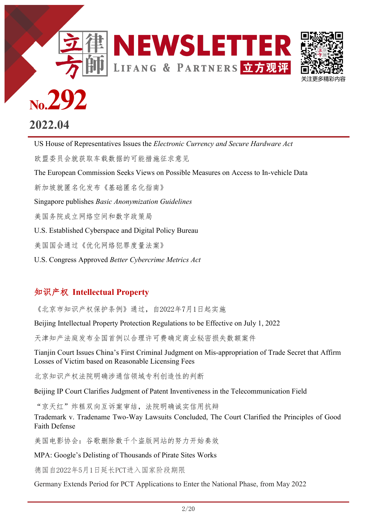



# **No.292**

# **2022.04**

天田牙 *TU瓜亚 PI 年王 PI 平 荻 千 吹 来 向*<br>[U.S. Established Cyberspace and Digital Policy Bureau](#page-7-0) US House of Representatives Issues the *[Electronic Currency and Secure Hardware Act](#page-6-0)* [欧盟委员会就获取车载数据的可能措施征求意见](#page-6-0) [The European Commission Seeks Views on Possible Measures on Access to In](#page-6-0)-vehicle Data [新加坡就匿名化发布《基础匿名化指南》](#page-7-0) Singapore publishes *[Basic Anonymization Guidelines](#page-7-0)* [美国务院成立网络空间和数字政策局](#page-7-0) [美国国会通过《优化网络犯罪度量法案》](#page-8-0) U.S. Congress Approved *[Better Cybercrime Metrics Act](#page-8-0)*

# 知识产权 **Intellectual Property**

[《北京市知识产权保护条例》通过,自](#page-8-0)2022年7月1日起实施

[Beijing Intellectual Property Protection Regulations to be Effective on July 1, 2022](#page-8-0)

[天津知产法庭发布全国首例以合理许可费确定商业秘密损失数额案件](#page-9-0)

Tianjin Court Issues China's First Criminal Judgment on Mis-[appropriation of Trade Secret that Affirm](#page-9-0)  [Losses of Victim based on Reasonable Licensing Fees](#page-9-0)

[北京知识产权法院明确涉通信领域专利创造性的判断](#page-10-0)

B[eijing IP Court Clarifies Judgment of Patent Inventiveness in the Telecommunication Field](#page-10-0) 

["京天红"炸糕双向互诉案审结,法院明确诚实信用抗辩](#page-11-0)

Trademark v. Tradename Two-[Way Lawsuits Concluded, The Court Clarified the Principles of Good](#page-11-0)  [Faith Defense](#page-11-0)

[美国电影协会:谷歌删除数千个盗版网站的努力开始奏效](#page-13-0)

MPA: Google'[s Delisting of Thousands of Pirate Sites Works](#page-13-0)

德国自2022年5月1日延长PCT进入国家阶段期限

Germany Extends Period for PCT Applications to Enter the National Phase, from May 2022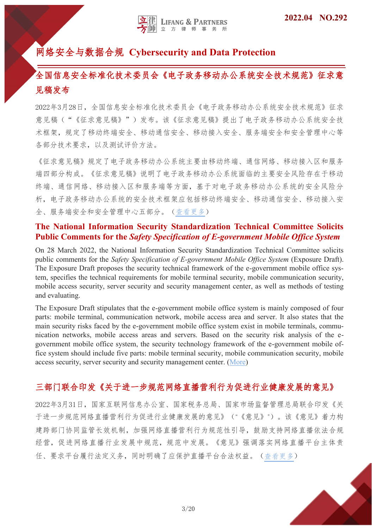# <span id="page-2-0"></span>网络安全与数据合规 **Cybersecurity and Data Protection**

# 全国信息安全标准化技术委员会《电子政务移动办公系统安全技术规范》征求意 见稿发布

2022年3月28日,全国信息安全标准化技术委员会《电子政务移动办公系统安全技术规范》征求 意见稿("《征求意见稿》")发布。该《征求意见稿》提出了电子政务移动办公系统安全技 术框架,规定了移动终端安全、移动接入安全、服务端安全和安全管理中心等 各部分技术要求,以及测试评价方法。

《征求意见稿》规定了电子政务移动办公系统主要由移动终端、通信网络、移动接入区和服务 端四部分构成。《征求意见稿》说明了电子政务移动办公系统面临的主要安全风险存在于移动 终端、通信网络、移动接入区和服务端等方面,基于对电子政务移动办公系统的安全风险分 析,电子政务移动办公系统的安全技术框架应包括移动终端安全、移动通信安全、移动接入安 全、服务端安全和安全管理中心五部分。[\(查看更多\)](https://www.tc260.org.cn/front/postDetail.html?id=20220328155021)

#### **The National Information Security Standardization Technical Committee Solicits Public Comments for the** *Safety Specification of E-government Mobile Office System*

On 28 March 2022, the National Information Security Standardization Technical Committee solicits public comments for the *Safety Specification of E-government Mobile Office System* (Exposure Draft). The Exposure Draft proposes the security technical framework of the e-government mobile office system, specifies the technical requirements for mobile terminal security, mobile communication security, mobile access security, server security and security management center, as well as methods of testing and evaluating.

The Exposure Draft stipulates that the e-government mobile office system is mainly composed of four parts: mobile terminal, communication network, mobile access area and server. It also states that the main security risks faced by the e-government mobile office system exist in mobile terminals, communication networks, mobile access areas and servers. Based on the security risk analysis of the egovernment mobile office system, the security technology framework of the e-government mobile office system should include five parts: mobile terminal security, mobile communication security, mobile access security, server security and security management center. ([More\)](https://www.tc260.org.cn/front/postDetail.html?id=20220328155021)

# 三部门联合印发《关于进一步规范网络直播营利行为促进行业健康发展的意见》

2022年3月31日,国家互联网信息办公室、国家税务总局、国家市场监督管理总局联合印发《关 于进一步规范网络直播营利行为促进行业健康发展的意见》("《意见》")。该《意见》着力构 建跨部门协同监管长效机制,加强网络直播营利行为规范性引导,鼓励支持网络直播依法合规 经营,促进网络直播行业发展中规范,规范中发展。《意见》强调落实网络直播平台主体责 任、要求平台履行法定义务,同时明确了应保护直播平台合法权益。([查看更多](http://www.gov.cn/xinwen/2022-03/31/content_5682632.htm))

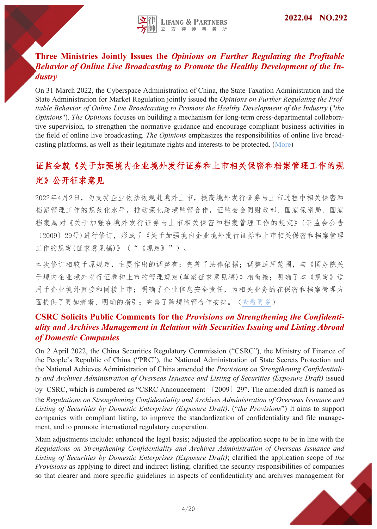# <span id="page-3-0"></span>**Three Ministries Jointly Issues the** *Opinions on Further Regulating the Profitable Behavior of Online Live Broadcasting to Promote the Healthy Development of the Industry*

On 31 March 2022, the Cyberspace Administration of China, the State Taxation Administration and the State Administration for Market Regulation jointly issued the *Opinions on Further Regulating the Profitable Behavior of Online Live Broadcasting to Promote the Healthy Development of the Industry* ("*the Opinions*"). *The Opinions* focuses on building a mechanism for long-term cross-departmental collaborative supervision, to strengthen the normative guidance and encourage compliant business activities in the field of online live broadcasting. *The Opinions* emphasizes the responsibilities of online live broadcasting platforms, as well as their legitimate rights and interests to be protected. ([More\)](http://www.gov.cn/xinwen/2022-03/31/content_5682632.htm)

# 证监会就《关于加强境内企业境外发行证券和上市相关保密和档案管理工作的规 定》公开征求意见

2022年4月2日,为支持企业依法依规赴境外上市,提高境外发行证券与上市过程中相关保密和 档案管理工作的规范化水平,推动深化跨境监管合作,证监会会同财政部、国家保密局、国家 档案局对《关于加强在境外发行证券与上市相关保密和档案管理工作的规定》(证监会公告 〔2009〕29号)进行修订,形成了《关于加强境内企业境外发行证券和上市相关保密和档案管理 工作的规定(征求意见稿)》("《规定》")。

本次修订相较于原规定,主要作出的调整有:完善了法律依据;调整适用范围,与《国务院关 于境内企业境外发行证券和上市的管理规定(草案征求意见稿)》相衔接;明确了本《规定》适 用于企业境外直接和间接上市;明确了企业信息安全责任,为相关业务的在保密和档案管理方 面提供了更加清晰、明确的指引;完善了跨境监管合作安排。[\(查看更多\)](http://www.csrc.gov.cn/csrc/c101981/c2274589/content.shtml)

# **CSRC Solicits Public Comments for the** *Provisions on Strengthening the Confidentiality and Archives Management in Relation with Securities Issuing and Listing Abroad of Domestic Companies*

On 2 April 2022, the China Securities Regulatory Commission ("CSRC"), the Ministry of Finance of the People's Republic of China ("PRC"), the National Administration of State Secrets Protection and the National Achieves Administration of China amended the *Provisions on Strengthening Confidentiality and Archives Administration of Overseas Issuance and Listing of Securities (Exposure Draft)* issued

by CSRC, which is numbered as "CSRC Announcement 〔2009〕29". The amended draft is named as the *Regulations on Strengthening Confidentiality and Archives Administration of Overseas Issuance and Listing of Securities by Domestic Enterprises (Exposure Draft)*. ("*the Provisions*") It aims to support companies with compliant listing, to improve the standardization of confidentiality and file management, and to promote international regulatory cooperation.

Main adjustments include: enhanced the legal basis; adjusted the application scope to be in line with the *Regulations on Strengthening Confidentiality and Archives Administration of Overseas Issuance and Listing of Securities by Domestic Enterprises (Exposure Draft)*; clarified the application scope of *the Provisions* as applying to direct and indirect listing; clarified the security responsibilities of companies so that clearer and more specific guidelines in aspects of confidentiality and archives management for

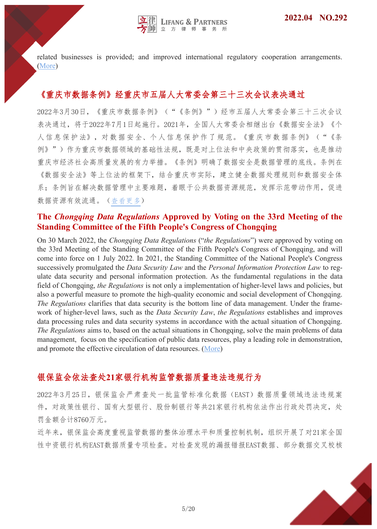<span id="page-4-0"></span>related businesses is provided; and improved international regulatory cooperation arrangements. [\(More\)](http://www.csrc.gov.cn/csrc/c101981/c2274589/content.shtml)

# 《重庆市数据条例》经重庆市五届人大常委会第三十三次会议表决通过

2022年3月30日,《重庆市数据条例》("《条例》")经市五届人大常委会第三十三次会议 表决通过,将于2022年7月1日起施行。2021年,全国人大常委会相继出台《数据安全法》《个 人信息保护法》,对数据安全、个人信息保护作了规范。《重庆市数据条例》("《条 例》")作为重庆市数据领域的基础性法规,既是对上位法和中央政策的贯彻落实,也是推动 重庆市经济社会高质量发展的有力举措。《条例》明确了数据安全是数据管理的底线。条例在 《数据安全法》等上位法的框架下,结合重庆市实际,建立健全数据处理规则和数据安全体 系;条例旨在解决数据管理中主要难题,着眼于公共数据资源规范,发挥示范带动作用,促进 数据资源有效流通。([查看更多](http://www.ccpc.cq.cn/article?id=272492498141253))

#### **The** *Chongqing Data Regulations* **Approved by Voting on the 33rd Meeting of the Standing Committee of the Fifth People's Congress of Chongqing**

On 30 March 2022, the *Chongqing Data Regulations* ("*the Regulations*") were approved by voting on the 33rd Meeting of the Standing Committee of the Fifth People's Congress of Chongqing, and will come into force on 1 July 2022. In 2021, the Standing Committee of the National People's Congress successively promulgated the *Data Security Law* and the *Personal Information Protection Law* to regulate data security and personal information protection. As the fundamental regulations in the data field of Chongqing, *the Regulations* is not only a implementation of higher-level laws and policies, but also a powerful measure to promote the high-quality economic and social development of Chongqing. *The Regulations* clarifies that data security is the bottom line of data management. Under the framework of higher-level laws, such as the *Data Security Law*, *the Regulations* establishes and improves data processing rules and data security systems in accordance with the actual situation of Chongqing. *The Regulations* aims to, based on the actual situations in Chongqing, solve the main problems of data management, focus on the specification of public data resources, play a leading role in demonstration, and promote the effective circulation of data resources. ([More\)](http://www.ccpc.cq.cn/article?id=272492498141253)

# 银保监会依法查处**21**家银行机构监管数据质量违法违规行为

2022年3月25日,银保监会严肃查处一批监管标准化数据(EAST)数据质量领域违法违规案 件,对政策性银行、国有大型银行、股份制银行等共21家银行机构依法作出行政处罚决定,处 罚金额合计8760万元。

近年来,银保监会高度重视监管数据的整体治理水平和质量控制机制,组织开展了对21家全国 性中资银行机构EAST数据质量专项检查。对检查发现的漏报错报EAST数据、部分数据交叉校核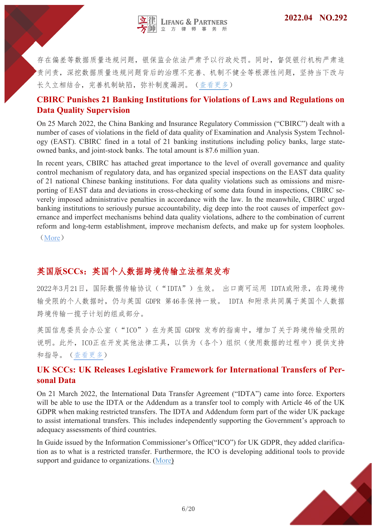

<span id="page-5-0"></span>存在偏差等数据质量违规问题,银保监会依法严肃予以行政处罚。同时,督促银行机构严肃追 责问责,深挖数据质量违规问题背后的治理不完善、机制不健全等根源性问题,坚持当下改与 长久立相结合,完善机制缺陷,弥补制度漏洞。([查看更多\)](http://www.cbirc.gov.cn/cn/view/pages/ItemDetail.html?docId=1044195&itemId=915&generaltype=0)

#### **CBIRC Punishes 21 Banking Institutions for Violations of Laws and Regulations on Data Quality Supervision**

On 25 March 2022, the China Banking and Insurance Regulatory Commission ("CBIRC") dealt with a number of cases of violations in the field of data quality of Examination and Analysis System Technology (EAST). CBIRC fined in a total of 21 banking institutions including policy banks, large stateowned banks, and joint-stock banks. The total amount is 87.6 million yuan.

In recent years, CBIRC has attached great importance to the level of overall governance and quality control mechanism of regulatory data, and has organized special inspections on the EAST data quality of 21 national Chinese banking institutions. For data quality violations such as omissions and misreporting of EAST data and deviations in cross-checking of some data found in inspections, CBIRC severely imposed administrative penalties in accordance with the law. In the meanwhile, CBIRC urged banking institutions to seriously pursue accountability, dig deep into the root causes of imperfect governance and imperfect mechanisms behind data quality violations, adhere to the combination of current reform and long-term establishment, improve mechanism defects, and make up for system loopholes.

([More](http://www.cbirc.gov.cn/cn/view/pages/ItemDetail.html?docId=1044195&itemId=915&generaltype=0))

# 英国版**SCCs**:英国个人数据跨境传输立法框架发布

2022年3月21日,国际数据传输协议("IDTA")生效。 出口商可运用 IDTA或附录,在跨境传 输受限的个人数据时,仍与英国 GDPR 第46条保持一致。 IDTA 和附录共同属于英国个人数据 跨境传输一揽子计划的组成部分。

英国信息委员会办公室("ICO")在为英国 GDPR 发布的指南中, 增加了关于跨境传输受限的 说明。此外,ICO正在开发其他法律工具,以供为(各个)组织(使用数据的过程中)提供支持 和指导。([查看更多\)](https://ico.org.uk/for-organisations/guide-to-data-protection/guide-to-the-general-data-protection-regulation-gdpr/international-transfers-after-uk-exit/)

#### **UK SCCs: UK Releases Legislative Framework for International Transfers of Personal Data**

On 21 March 2022, the International Data Transfer Agreement ("IDTA") came into force. Exporters will be able to use the IDTA or the Addendum as a transfer tool to comply with Article 46 of the UK GDPR when making restricted transfers. The IDTA and Addendum form part of the wider UK package to assist international transfers. This includes independently supporting the Government's approach to adequacy assessments of third countries.

In Guide issued by the Information Commissioner's Office("ICO") for UK GDPR, they added clarification as to what is a restricted transfer. Furthermore, the ICO is developing additional tools to provide support and guidance to organizations. [\(More\)](https://ico.org.uk/for-organisations/guide-to-data-protection/guide-to-the-general-data-protection-regulation-gdpr/international-transfers-after-uk-exit/)

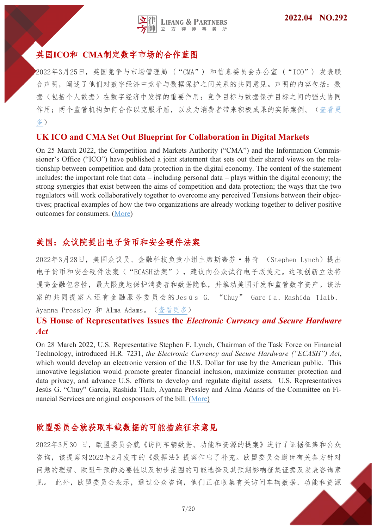# <span id="page-6-0"></span>英国**ICO**和 **CMA**制定数字市场的合作蓝图

2022年3月25日,英国竞争与市场管理局 ("CMA") 和信息委员会办公室 ("ICO") 发表联 合声明,阐述了他们对数字经济中竞争与数据保护之间关系的共同意见。声明的内容包括:数 据(包括个人数据)在数字经济中发挥的重要作用;竞争目标与数据保护目标之间的强大协同 作用;两个监管机构如何合作以克服矛盾,以及为消费者带来积极成果的实际案例。([查看更](https://ico.org.uk/about-the-ico/news-and-events/news-and-blogs/2021/05/ico-and-cma-set-out-blueprint-for-cooperation-in-digital-markets/) [多\)](https://ico.org.uk/about-the-ico/news-and-events/news-and-blogs/2021/05/ico-and-cma-set-out-blueprint-for-cooperation-in-digital-markets/)

#### **UK ICO and CMA Set Out Blueprint for Collaboration in Digital Markets**

On 25 March 2022, the Competition and Markets Authority ("CMA") and the Information Commissioner's Office ("ICO") have published a joint statement that sets out their shared views on the relationship between competition and data protection in the digital economy. The content of the statement includes: the important role that data – including personal data – plays within the digital economy; the strong synergies that exist between the aims of competition and data protection; the ways that the two regulators will work collaboratively together to overcome any perceived Tensions between their objectives; practical examples of how the two organizations are already working together to deliver positive outcomes for consumers. ([More\)](https://ico.org.uk/about-the-ico/news-and-events/news-and-blogs/2021/05/ico-and-cma-set-out-blueprint-for-cooperation-in-digital-markets/)

# 美国:众议院提出电子货币和安全硬件法案

2022年3月28日,美国众议员、金融科技负责小组主席斯蒂芬·林奇 (Stephen Lynch)提出 电子货币和安全硬件法案("ECASH法案"),建议向公众试行电子版美元。这项创新立法将 提高金融包容性,最大限度地保护消费者和数据隐私,并推动美国开发和监管数字资产。该法 案的共同提案人还有金融服务委员会的Jesús G. "Chuy" García、Rashida Tlaib、 Ayanna Pressley 和 Alma Adams。[\(查看更多\)](https://lynch.house.gov/press-releases?id=5A0DA9DE-8884-4E06-AC0A-BCA08850F05E)

**US House of Representatives Issues the** *Electronic Currency and Secure Hardware Act*

On 28 March 2022, U.S. Representative Stephen F. Lynch, Chairman of the Task Force on Financial Technology, introduced H.R. 7231, *the Electronic Currency and Secure Hardware ("ECASH") Act*, which would develop an electronic version of the U.S. Dollar for use by the American public. This innovative legislation would promote greater financial inclusion, maximize consumer protection and data privacy, and advance U.S. efforts to develop and regulate digital assets. U.S. Representatives Jesús G. "Chuy" García, Rashida Tlaib, Ayanna Pressley and Alma Adams of the Committee on Financial Services are original cosponsors of the bill. ([More\)](https://lynch.house.gov/press-releases?id=5A0DA9DE-8884-4E06-AC0A-BCA08850F05E)

#### 欧盟委员会就获取车载数据的可能措施征求意见

2022年3月30 日,欧盟委员会就《访问车辆数据、功能和资源的提案》进行了证据征集和公众 咨询,该提案对2022年2月发布的《数据法》提案作出了补充。欧盟委员会邀请有关各方针对 问题的理解、欧盟干预的必要性以及初步范围的可能选择及其预期影响征集证据及发表咨询意 见。 此外,欧盟委员会表示,通过公众咨询,他们正在收集有关访问车辆数据、功能和资源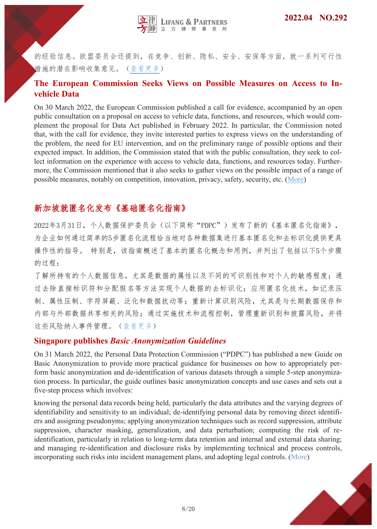<span id="page-7-0"></span>的经验信息。欧盟委员会还提到,在竞争、创新、隐私、安全、安保等方面,就一系列可行性 措施的潜在影响收集意见。[\(查看更多\)](https://ec.europa.eu/commission/presscorner/detail/en/MEX_22_2183)

### **The European Commission Seeks Views on Possible Measures on Access to Invehicle Data**

On 30 March 2022, the European Commission published a call for evidence, accompanied by an open public consultation on a proposal on access to vehicle data, functions, and resources, which would complement the proposal for Data Act published in February 2022. In particular, the Commission noted that, with the call for evidence, they invite interested parties to express views on the understanding of the problem, the need for EU intervention, and on the preliminary range of possible options and their expected impact. In addition, the Commission stated that with the public consultation, they seek to collect information on the experience with access to vehicle data, functions, and resources today. Furthermore, the Commission mentioned that it also seeks to gather views on the possible impact of a range of possible measures, notably on competition, innovation, privacy, safety, security, etc. ([More\)](https://ec.europa.eu/commission/presscorner/detail/en/MEX_22_2183)

# 新加坡就匿名化发布《基础匿名化指南》

2022年3月31日,个人数据保护委员会(以下简称"PDPC")发布了新的《基本匿名化指南》, 为企业如何通过简单的5步匿名化流程恰当地对各种数据集进行基本匿名化和去标识化提供更具 操作性的指导。 特别是,该指南概述了基本的匿名化概念和用例,并列出了包括以下5个步骤 的过程:

了解所持有的个人数据信息,尤其是数据的属性以及不同的可识别性和对个人的敏感程度;通 过去除直接标识符和分配假名等方法实现个人数据的去标识化;应用匿名化技术,如记录压 制、属性压制、字符屏蔽、泛化和数据扰动等;重新计算识别风险,尤其是与长期数据保存和 内部与外部数据共享相关的风险;通过实施技术和流程控制,管理重新识别和披露风险,并将 这些风险纳入事件管理。[\(查看更多\)](https://www.pdpc.gov.sg/news-and-events/announcements/2022/03/guide-to-basic-anonymisation-now-available)

#### **Singapore publishes** *Basic Anonymization Guidelines*

On 31 March 2022, the Personal Data Protection Commission ("PDPC") has published a new Guide on Basic Anonymization to provide more practical guidance for businesses on how to appropriately perform basic anonymization and de-identification of various datasets through a simple 5-step anonymization process. In particular, the guide outlines basic anonymization concepts and use cases and sets out a five-step process which involves:

knowing the personal data records being held, particularly the data attributes and the varying degrees of identifiability and sensitivity to an individual; de-identifying personal data by removing direct identifiers and assigning pseudonyms; applying anonymization techniques such as record suppression, attribute suppression, character masking, generalization, and data perturbation; computing the risk of reidentification, particularly in relation to long-term data retention and internal and external data sharing; and managing re-identification and disclosure risks by implementing technical and process controls, incorporating such risks into incident management plans, and adopting legal controls. ([More\)](https://www.pdpc.gov.sg/news-and-events/announcements/2022/03/guide-to-basic-anonymisation-now-available)

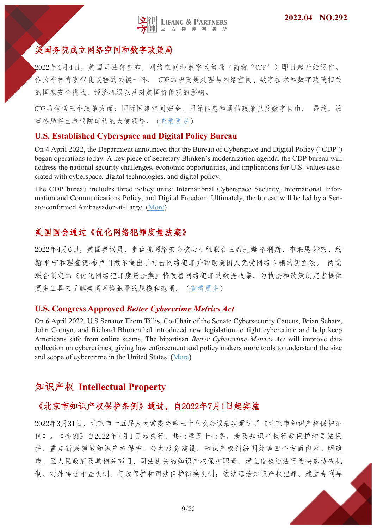

# <span id="page-8-0"></span>美国务院成立网络空间和数字政策局

2022年4月4日,美国司法部宣布,网络空间和数字政策局(简称"CDP")即日起开始运作。 作为布林肯现代化议程的关键一环, CDP的职责是处理与网络空间、数字技术和数字政策相关 的国家安全挑战、经济机遇以及对美国价值观的影响。

CDP局包括三个政策方面:国际网络空间安全、国际信息和通信政策以及数字自由。 最终,该 事务局将由参议院确认的大使领导。[\(查看更多\)](https://www.state.gov/establishment-of-the-bureau-of-cyberspace-and-digital-policy/)

#### **U.S. Established Cyberspace and Digital Policy Bureau**

On 4 April 2022, the Department announced that the Bureau of Cyberspace and Digital Policy ("CDP") began operations today. A key piece of Secretary Blinken's modernization agenda, the CDP bureau will address the national security challenges, economic opportunities, and implications for U.S. values associated with cyberspace, digital technologies, and digital policy.

The CDP bureau includes three policy units: International Cyberspace Security, International Information and Communications Policy, and Digital Freedom. Ultimately, the bureau will be led by a Senate-confirmed Ambassador-at-Large. [\(More\)](https://www.state.gov/establishment-of-the-bureau-of-cyberspace-and-digital-policy/)

# 美国国会通过《优化网络犯罪度量法案》

2022年4月6日,美国参议员、参议院网络安全核心小组联合主席托姆·蒂利斯、布莱恩·沙茨、约 翰·科宁和理查德·布卢门撒尔提出了打击网络犯罪并帮助美国人免受网络诈骗的新立法。 两党 联合制定的《优化网络犯罪度量法案》将改善网络犯罪的数据收集,为执法和政策制定者提供 更多工具来了解美国网络犯罪的规模和范围。[\(查看更多\)](#:~:text=The%20Better%20Cybercrime%20Metrics%20Act%20will%20give%20law,all%20the%20types%20of%20crime%20that%20Americans%20face#:~:text=The%20Better%20Cybercrime%20Metrics%20Act%20will%20give%20law,all%20the%20types%20of%20crime%20that%20Americans%20face)

#### **U.S. Congress Approved** *Better Cybercrime Metrics Act*

On 6 April 2022, U.S Senator Thom Tillis, Co-Chair of the Senate Cybersecurity Caucus, Brian Schatz, John Cornyn, and Richard Blumenthal introduced new legislation to fight cybercrime and help keep Americans safe from online scams. The bipartisan *Better Cybercrime Metrics Act* will improve data collection on cybercrimes, giving law enforcement and policy makers more tools to understand the size and scope of cybercrime in the United States. [\(More\)](#:~:text=The%20Better%20Cybercrime%20Metrics%20Act%20will%20give%20law,all%20the%20types%20of%20crime%20that%20Americans%20face#:~:text=The%20Better%20Cybercrime%20Metrics%20Act%20will%20give%20law,all%20the%20types%20of%20crime%20that%20Americans%20face)

# 知识产权 **Intellectual Property**

#### 《北京市知识产权保护条例》通过,自2022年7月1日起实施

2022年3月31日,北京市十五届人大常委会第三十八次会议表决通过了《北京市知识产权保护条 例》。《条例》自2022年7月1日起施行,共七章五十七条,涉及知识产权行政保护和司法保 护、重点新兴领域知识产权保护、公共服务建设、知识产权纠纷调处等四个方面内容。明确 市、区人民政府及其相关部门、司法机关的知识产权保护职责,建立侵权违法行为快速协查机 制、对外转让审查机制、行政保护和司法保护衔接机制;依法惩治知识产权犯罪。建立专利导

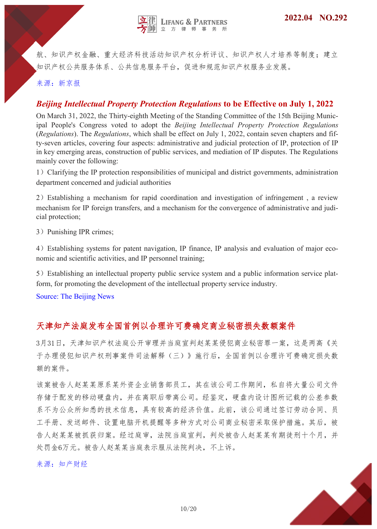<span id="page-9-0"></span>航、知识产权金融、重大经济科技活动知识产权分析评议、知识产权人才培养等制度;建立 知识产权公共服务体系、公共信息服务平台,促进和规范知识产权服务业发展。

来源:新京报

#### *Beijing Intellectual Property Protection Regulations* **to be Effective on July 1, 2022**

On March 31, 2022, the Thirty-eighth Meeting of the Standing Committee of the 15th Beijing Municipal People's Congress voted to adopt the *Beijing Intellectual Property Protection Regulations*  (*Regulations*). The *Regulations*, which shall be effect on July 1, 2022, contain seven chapters and fifty-seven articles, covering four aspects: administrative and judicial protection of IP, protection of IP in key emerging areas, construction of public services, and mediation of IP disputes. The Regulations mainly cover the following:

1) Clarifying the IP protection responsibilities of municipal and district governments, administration department concerned and judicial authorities

2)Establishing a mechanism for rapid coordination and investigation of infringement , a review mechanism for IP foreign transfers, and a mechanism for the convergence of administrative and judicial protection;

3) Punishing IPR crimes;

4)Establishing systems for patent navigation, IP finance, IP analysis and evaluation of major economic and scientific activities, and IP personnel training;

5)Establishing an intellectual property public service system and a public information service platform, for promoting the development of the intellectual property service industry.

Source: The Beijing News

# 天津知产法庭发布全国首例以合理许可费确定商业秘密损失数额案件

3月31日,天津知识产权法庭公开审理并当庭宣判赵某某侵犯商业秘密罪一案,这是两高《关 于办理侵犯知识产权刑事案件司法解释(三)》施行后,全国首例以合理许可费确定损失数 额的案件。

该案被告人赵某某原系某外资企业销售部员工,其在该公司工作期间,私自将大量公司文件 存储于配发的移动硬盘内,并在离职后带离公司。经鉴定,硬盘内设计图所记载的公差参数 系不为公众所知悉的技术信息,具有较高的经济价值。此前,该公司通过签订劳动合同、员 工手册、发送邮件、设置电脑开机提醒等多种方式对公司商业秘密采取保护措施。其后,被 告人赵某某被抓获归案。经过庭审,法院当庭宣判,判处被告人赵某某有期徒刑十个月,并 处罚金6万元。被告人赵某某当庭表示服从法院判决,不上诉。

10/20

#### 来源:知产财经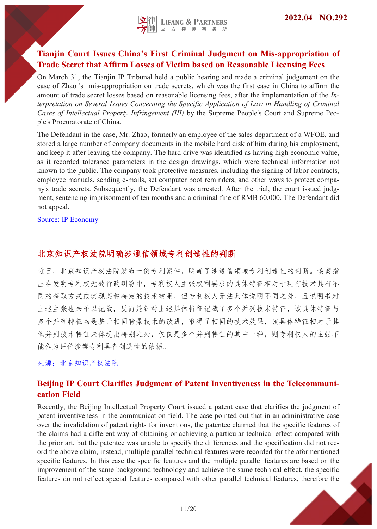# <span id="page-10-0"></span>**Tianjin Court Issues China's First Criminal Judgment on Mis-appropriation of Trade Secret that Affirm Losses of Victim based on Reasonable Licensing Fees**

On March 31, the Tianjin IP Tribunal held a public hearing and made a criminal judgement on the case of Zhao 's mis-appropriation on trade secrets, which was the first case in China to affirm the amount of trade secret losses based on reasonable licensing fees, after the implementation of the *Interpretation on Several Issues Concerning the Specific Application of Law in Handling of Criminal Cases of Intellectual Property Infringement (III)* by the Supreme People's Court and Supreme People's Procuratorate of China.

The Defendant in the case, Mr. Zhao, formerly an employee of the sales department of a WFOE, and stored a large number of company documents in the mobile hard disk of him during his employment, and keep it after leaving the company. The hard drive was identified as having high economic value, as it recorded tolerance parameters in the design drawings, which were technical information not known to the public. The company took protective measures, including the signing of labor contracts, employee manuals, sending e-mails, set computer boot reminders, and other ways to protect company's trade secrets. Subsequently, the Defendant was arrested. After the trial, the court issued judgment, sentencing imprisonment of ten months and a criminal fine of RMB 60,000. The Defendant did not appeal.

Source: IP Economy

# 北京知识产权法院明确涉通信领域专利创造性的判断

近日,北京知识产权法院发布一例专利案件,明确了涉通信领域专利创造性的判断。该案指 出在发明专利权无效行政纠纷中,专利权人主张权利要求的具体特征相对于现有技术具有不 同的获取方式或实现某种特定的技术效果,但专利权人无法具体说明不同之处,且说明书对 上述主张也未予以记载,反而是针对上述具体特征记载了多个并列技术特征,该具体特征与 多个并列特征均是基于相同背景技术的改进,取得了相同的技术效果,该具体特征相对于其 他并列技术特征未体现出特别之处,仅仅是多个并列特征的其中一种,则专利权人的主张不 能作为评价涉案专利具备创造性的依据。

来源:北京知识产权法院

# **Beijing IP Court Clarifies Judgment of Patent Inventiveness in the Telecommunication Field**

Recently, the Beijing Intellectual Property Court issued a patent case that clarifies the judgment of patent inventiveness in the communication field. The case pointed out that in an administrative case over the invalidation of patent rights for inventions, the patentee claimed that the specific features of the claims had a different way of obtaining or achieving a particular technical effect compared with the prior art, but the patentee was unable to specify the differences and the specification did not record the above claim, instead, multiple parallel technical features were recorded for the aformentioned specific features. In this case the specific features and the multiple parallel features are based on the improvement of the same background technology and achieve the same technical effect, the specific features do not reflect special features compared with other parallel technical features, therefore the

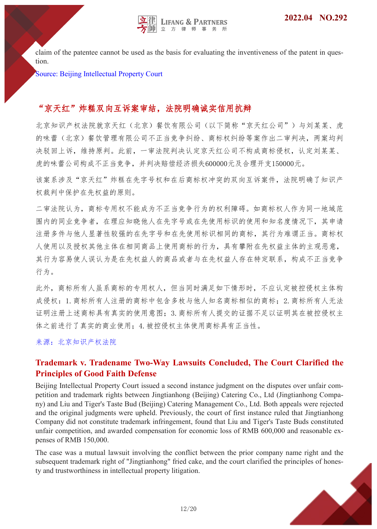<span id="page-11-0"></span>claim of the patentee cannot be used as the basis for evaluating the inventiveness of the patent in question.

Source: Beijing Intellectual Property Court

# "京天红"炸糕双向互诉案审结,法院明确诚实信用抗辩

北京知识产权法院就京天红(北京)餐饮有限公司(以下简称"京天红公司")与刘某某、虎 的味蕾(北京)餐饮管理有限公司不正当竞争纠纷、商标权纠纷等案作出二审判决,两案均判 决驳回上诉,维持原判。此前,一审法院判决认定京天红公司不构成商标侵权,认定刘某某、 虎的味蕾公司构成不正当竞争,并判决赔偿经济损失600000元及合理开支150000元。

该案系涉及"京天红"炸糕在先字号权和在后商标权冲突的双向互诉案件,法院明确了知识产 权裁判中保护在先权益的原则。

二审法院认为,商标专用权不能成为不正当竞争行为的权利障碍。如商标权人作为同一地域范 围内的同业竞争者,在理应知晓他人在先字号或在先使用标识的使用和知名度情况下,其申请 注册多件与他人显著性较强的在先字号和在先使用标识相同的商标,其行为难谓正当。商标权 人使用以及授权其他主体在相同商品上使用商标的行为,具有攀附在先权益主体的主观恶意, 其行为容易使人误认为是在先权益人的商品或者与在先权益人存在特定联系,构成不正当竞争 行为。

此外,商标所有人虽系商标的专用权人,但当同时满足如下情形时,不应认定被控侵权主体构 成侵权: 1. 商标所有人注册的商标中包含多枚与他人知名商标相似的商标; 2. 商标所有人无法 证明注册上述商标具有真实的使用意图;3.商标所有人提交的证据不足以证明其在被控侵权主 体之前进行了真实的商业使用;4.被控侵权主体使用商标具有正当性。

来源:北京知识产权法院

# **Trademark v. Tradename Two-Way Lawsuits Concluded, The Court Clarified the Principles of Good Faith Defense**

Beijing Intellectual Property Court issued a second instance judgment on the disputes over unfair competition and trademark rights between Jingtianhong (Beijing) Catering Co., Ltd (Jingtianhong Company) and Liu and Tiger's Taste Bud (Beijing) Catering Management Co., Ltd. Both appeals were rejected and the original judgments were upheld. Previously, the court of first instance ruled that Jingtianhong Company did not constitute trademark infringement, found that Liu and Tiger's Taste Buds constituted unfair competition, and awarded compensation for economic loss of RMB 600,000 and reasonable expenses of RMB 150,000.

The case was a mutual lawsuit involving the conflict between the prior company name right and the subsequent trademark right of "Jingtianhong" fried cake, and the court clarified the principles of honesty and trustworthiness in intellectual property litigation.

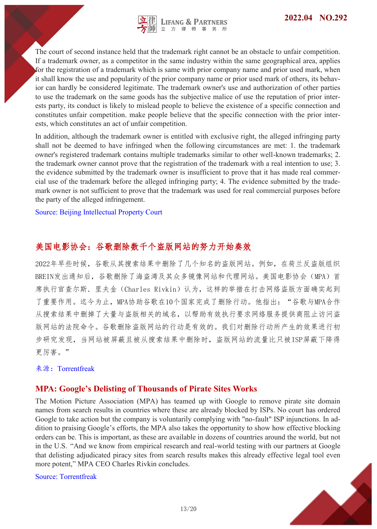

The court of second instance held that the trademark right cannot be an obstacle to unfair competition. If a trademark owner, as a competitor in the same industry within the same geographical area, applies for the registration of a trademark which is same with prior company name and prior used mark, when it shall know the use and popularity of the prior company name or prior used mark of others, its behavior can hardly be considered legitimate. The trademark owner's use and authorization of other parties to use the trademark on the same goods has the subjective malice of use the reputation of prior interests party, its conduct is likely to mislead people to believe the existence of a specific connection and constitutes unfair competition. make people believe that the specific connection with the prior interests, which constitutes an act of unfair competition.

In addition, although the trademark owner is entitled with exclusive right, the alleged infringing party shall not be deemed to have infringed when the following circumstances are met: 1. the trademark owner's registered trademark contains multiple trademarks similar to other well-known trademarks; 2. the trademark owner cannot prove that the registration of the trademark with a real intention to use; 3. the evidence submitted by the trademark owner is insufficient to prove that it has made real commercial use of the trademark before the alleged infringing party; 4. The evidence submitted by the trademark owner is not sufficient to prove that the trademark was used for real commercial purposes before the party of the alleged infringement.

Source: Beijing Intellectual Property Court

# 美国电影协会:谷歌删除数千个盗版网站的努力开始奏效

2022年早些时候,谷歌从其搜索结果中删除了几个知名的盗版网站。例如,在荷兰反盗版组织 BREIN发出通知后,谷歌删除了海盗湾及其众多镜像网站和代理网站。美国电影协会(MPA)首 席执行官查尔斯. 里夫金(Charles Rivkin)认为,这样的举措在打击网络盗版方面确实起到 了重要作用。迄今为止,MPA协助谷歌在10个国家完成了删除行动。他指出:"谷歌与MPA合作 从搜索结果中删掉了大量与盗版相关的域名,以帮助有效执行要求网络服务提供商阻止访问盗 版网站的法院命令。谷歌删除盗版网站的行动是有效的。我们对删除行动所产生的效果进行初 步研究发现,当网站被屏蔽且被从搜索结果中删除时,盗版网站的流量比只被ISP屏蔽下降得 更厉害。"

#### 来源:Torrentfreak

#### **MPA: Google's Delisting of Thousands of Pirate Sites Works**

The Motion Picture Association (MPA) has teamed up with Google to remove pirate site domain names from search results in countries where these are already blocked by ISPs. No court has ordered Google to take action but the company is voluntarily complying with "no-fault" ISP injunctions. In addition to praising Google's efforts, the MPA also takes the opportunity to show how effective blocking orders can be. This is important, as these are available in dozens of countries around the world, but not in the U.S. "And we know from empirical research and real-world testing with our partners at Google that delisting adjudicated piracy sites from search results makes this already effective legal tool even more potent," MPA CEO Charles Rivkin concludes.

Source: Torrentfreak

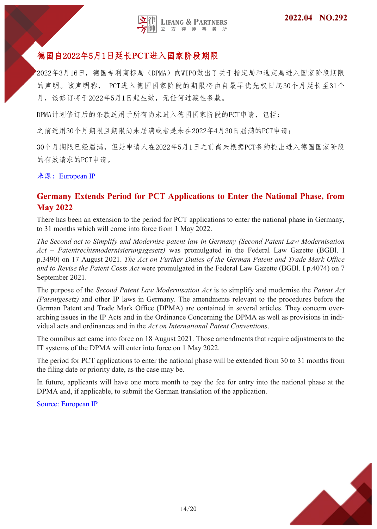

# <span id="page-13-0"></span>德国自2022年5月1日延长**PCT**进入国家阶段期限

2022年3月16日,德国专利商标局(DPMA)向WIPO做出了关于指定局和选定局进入国家阶段期限 的声明。该声明称, PCT进入德国国家阶段的期限将由自最早优先权日起30个月延长至31个 月,该修订将于2022年5月1日起生效,无任何过渡性条款。

DPMA计划修订后的条款适用于所有尚未进入德国国家阶段的PCT申请,包括:

之前适用30个月期限且期限尚未届满或者是未在2022年4月30日届满的PCT申请;

30个月期限已经届满,但是申请人在2022年5月1日之前尚未根据PCT条约提出进入德国国家阶段 的有效请求的PCT申请。

来源: European IP

#### **Germany Extends Period for PCT Applications to Enter the National Phase, from May 2022**

There has been an extension to the period for PCT applications to enter the national phase in Germany, to 31 months which will come into force from 1 May 2022.

*The Second act to Simplify and Modernise patent law in Germany (Second Patent Law Modernisation Act – Patentrechtsmodernisierungsgesetz)* was promulgated in the Federal Law Gazette (BGBl. I p.3490) on 17 August 2021. *The Act on Further Duties of the German Patent and Trade Mark Office and to Revise the Patent Costs Act* were promulgated in the Federal Law Gazette (BGBl. I p.4074) on 7 September 2021.

The purpose of the *Second Patent Law Modernisation Act* is to simplify and modernise the *Patent Act (Patentgesetz)* and other IP laws in Germany. The amendments relevant to the procedures before the German Patent and Trade Mark Office (DPMA) are contained in several articles. They concern overarching issues in the IP Acts and in the Ordinance Concerning the DPMA as well as provisions in individual acts and ordinances and in the *Act on International Patent Conventions*.

The omnibus act came into force on 18 August 2021. Those amendments that require adjustments to the IT systems of the DPMA will enter into force on 1 May 2022.

The period for PCT applications to enter the national phase will be extended from 30 to 31 months from the filing date or priority date, as the case may be.

In future, applicants will have one more month to pay the fee for entry into the national phase at the DPMA and, if applicable, to submit the German translation of the application.

Source: European IP